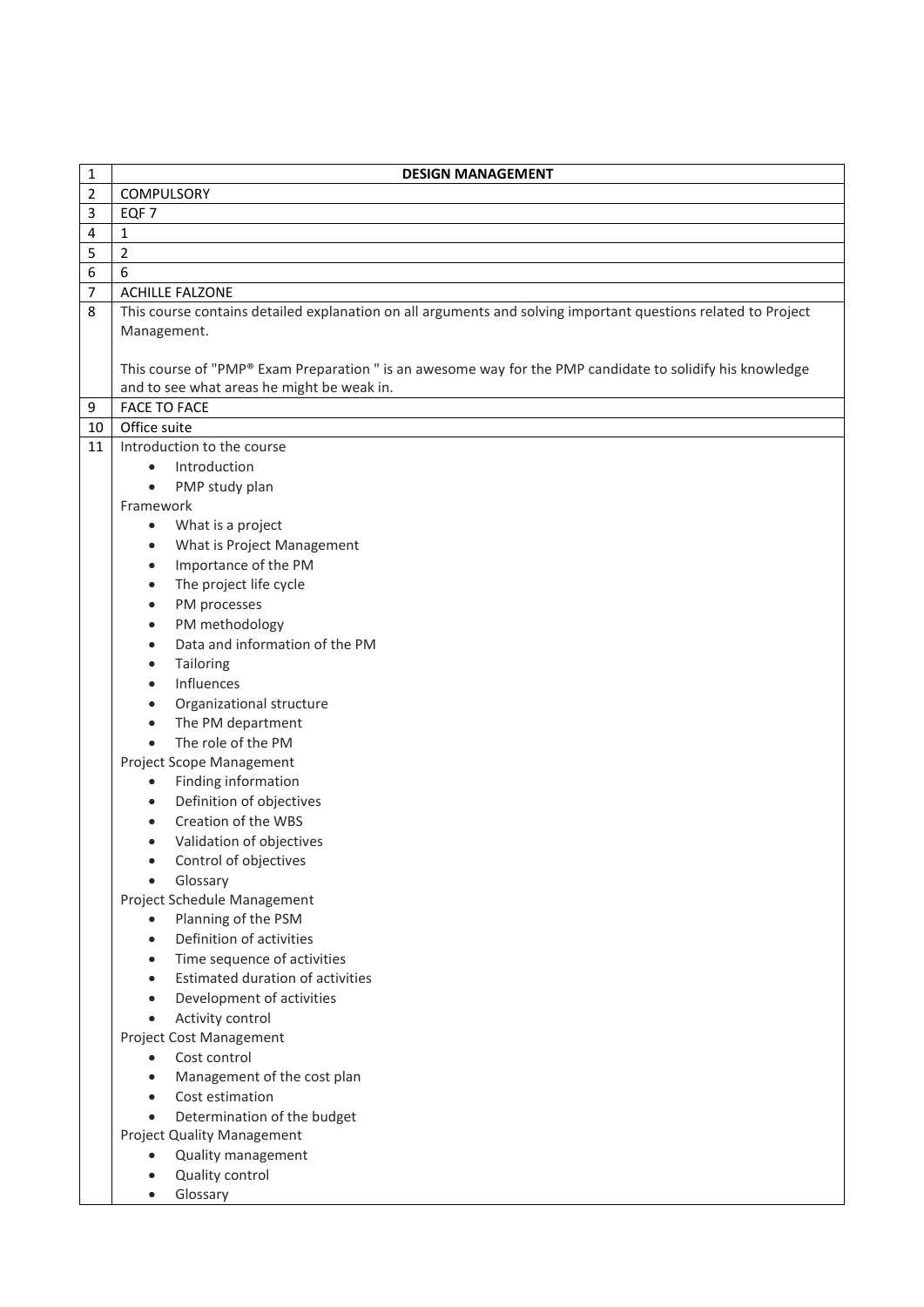| 1              | <b>DESIGN MANAGEMENT</b>                                                                                      |
|----------------|---------------------------------------------------------------------------------------------------------------|
| $\overline{2}$ | COMPULSORY                                                                                                    |
| 3              | EQF <sub>7</sub>                                                                                              |
| 4              | 1                                                                                                             |
| 5              | $\overline{2}$                                                                                                |
| 6              | 6                                                                                                             |
| 7              | <b>ACHILLE FALZONE</b>                                                                                        |
| 8              | This course contains detailed explanation on all arguments and solving important questions related to Project |
|                | Management.                                                                                                   |
|                |                                                                                                               |
|                | This course of "PMP® Exam Preparation " is an awesome way for the PMP candidate to solidify his knowledge     |
|                | and to see what areas he might be weak in.                                                                    |
| 9              | <b>FACE TO FACE</b>                                                                                           |
| 10             | Office suite                                                                                                  |
| 11             | Introduction to the course                                                                                    |
|                | Introduction                                                                                                  |
|                | PMP study plan<br>$\bullet$                                                                                   |
|                | Framework                                                                                                     |
|                | What is a project<br>$\bullet$                                                                                |
|                | What is Project Management                                                                                    |
|                | Importance of the PM<br>$\bullet$                                                                             |
|                | The project life cycle<br>$\bullet$                                                                           |
|                | PM processes<br>$\bullet$<br>PM methodology<br>$\bullet$                                                      |
|                | Data and information of the PM<br>$\bullet$                                                                   |
|                | Tailoring                                                                                                     |
|                | Influences<br>$\bullet$                                                                                       |
|                | Organizational structure<br>$\bullet$                                                                         |
|                | The PM department<br>$\bullet$                                                                                |
|                | The role of the PM<br>$\bullet$                                                                               |
|                | Project Scope Management                                                                                      |
|                | Finding information<br>$\bullet$                                                                              |
|                | Definition of objectives                                                                                      |
|                | Creation of the WBS                                                                                           |
|                | Validation of objectives                                                                                      |
|                | Control of objectives                                                                                         |
|                | Glossary                                                                                                      |
|                | Project Schedule Management                                                                                   |
|                | Planning of the PSM<br>$\bullet$                                                                              |
|                | Definition of activities<br>$\bullet$                                                                         |
|                | Time sequence of activities<br>$\bullet$                                                                      |
|                | Estimated duration of activities<br>$\bullet$                                                                 |
|                | Development of activities                                                                                     |
|                | Activity control<br>$\bullet$                                                                                 |
|                | Project Cost Management                                                                                       |
|                | Cost control<br>$\bullet$                                                                                     |
|                | Management of the cost plan<br>$\bullet$                                                                      |
|                | Cost estimation<br>$\bullet$                                                                                  |
|                | Determination of the budget<br>$\bullet$                                                                      |
|                | Project Quality Management                                                                                    |
|                | Quality management                                                                                            |
|                | Quality control                                                                                               |
|                | Glossary                                                                                                      |